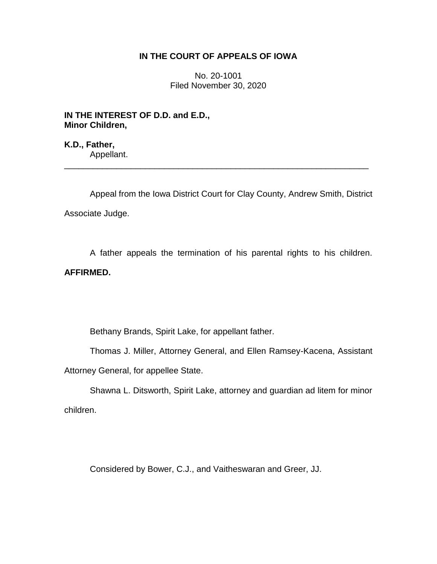## **IN THE COURT OF APPEALS OF IOWA**

No. 20-1001 Filed November 30, 2020

**IN THE INTEREST OF D.D. and E.D., Minor Children,**

**K.D., Father,** Appellant.

Appeal from the Iowa District Court for Clay County, Andrew Smith, District Associate Judge.

\_\_\_\_\_\_\_\_\_\_\_\_\_\_\_\_\_\_\_\_\_\_\_\_\_\_\_\_\_\_\_\_\_\_\_\_\_\_\_\_\_\_\_\_\_\_\_\_\_\_\_\_\_\_\_\_\_\_\_\_\_\_\_\_

A father appeals the termination of his parental rights to his children.

## **AFFIRMED.**

Bethany Brands, Spirit Lake, for appellant father.

Thomas J. Miller, Attorney General, and Ellen Ramsey-Kacena, Assistant Attorney General, for appellee State.

Shawna L. Ditsworth, Spirit Lake, attorney and guardian ad litem for minor children.

Considered by Bower, C.J., and Vaitheswaran and Greer, JJ.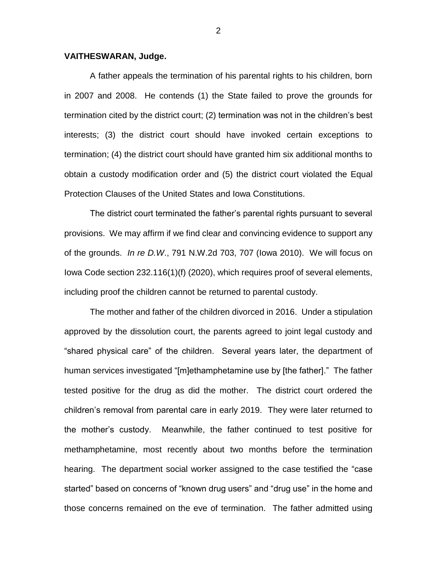## **VAITHESWARAN, Judge.**

A father appeals the termination of his parental rights to his children, born in 2007 and 2008. He contends (1) the State failed to prove the grounds for termination cited by the district court; (2) termination was not in the children's best interests; (3) the district court should have invoked certain exceptions to termination; (4) the district court should have granted him six additional months to obtain a custody modification order and (5) the district court violated the Equal Protection Clauses of the United States and Iowa Constitutions.

The district court terminated the father's parental rights pursuant to several provisions. We may affirm if we find clear and convincing evidence to support any of the grounds. *In re D.W*., 791 N.W.2d 703, 707 (Iowa 2010). We will focus on Iowa Code section 232.116(1)(f) (2020), which requires proof of several elements, including proof the children cannot be returned to parental custody.

The mother and father of the children divorced in 2016. Under a stipulation approved by the dissolution court, the parents agreed to joint legal custody and "shared physical care" of the children. Several years later, the department of human services investigated "[m]ethamphetamine use by [the father]." The father tested positive for the drug as did the mother. The district court ordered the children's removal from parental care in early 2019. They were later returned to the mother's custody. Meanwhile, the father continued to test positive for methamphetamine, most recently about two months before the termination hearing. The department social worker assigned to the case testified the "case started" based on concerns of "known drug users" and "drug use" in the home and those concerns remained on the eve of termination. The father admitted using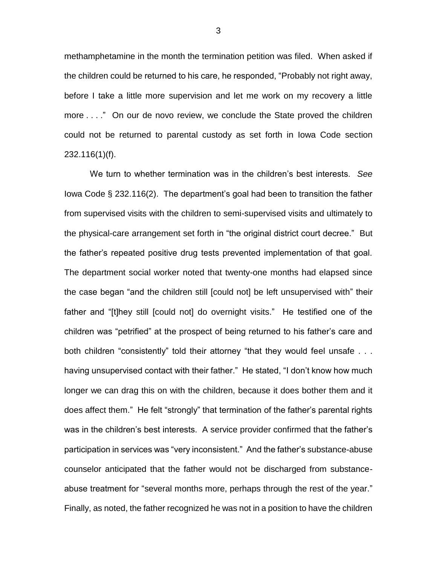methamphetamine in the month the termination petition was filed. When asked if the children could be returned to his care, he responded, "Probably not right away, before I take a little more supervision and let me work on my recovery a little more . . . ." On our de novo review, we conclude the State proved the children could not be returned to parental custody as set forth in Iowa Code section 232.116(1)(f).

We turn to whether termination was in the children's best interests. *See*  Iowa Code § 232.116(2). The department's goal had been to transition the father from supervised visits with the children to semi-supervised visits and ultimately to the physical-care arrangement set forth in "the original district court decree." But the father's repeated positive drug tests prevented implementation of that goal. The department social worker noted that twenty-one months had elapsed since the case began "and the children still [could not] be left unsupervised with" their father and "[t]hey still [could not] do overnight visits." He testified one of the children was "petrified" at the prospect of being returned to his father's care and both children "consistently" told their attorney "that they would feel unsafe . . . having unsupervised contact with their father." He stated, "I don't know how much longer we can drag this on with the children, because it does bother them and it does affect them." He felt "strongly" that termination of the father's parental rights was in the children's best interests. A service provider confirmed that the father's participation in services was "very inconsistent." And the father's substance-abuse counselor anticipated that the father would not be discharged from substanceabuse treatment for "several months more, perhaps through the rest of the year." Finally, as noted, the father recognized he was not in a position to have the children

3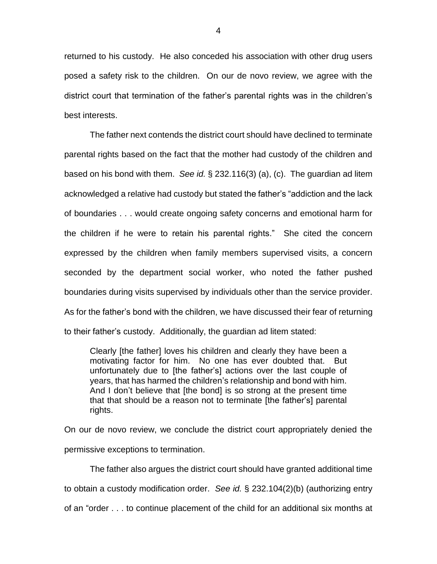returned to his custody. He also conceded his association with other drug users posed a safety risk to the children. On our de novo review, we agree with the district court that termination of the father's parental rights was in the children's best interests.

The father next contends the district court should have declined to terminate parental rights based on the fact that the mother had custody of the children and based on his bond with them. *See id.* § 232.116(3) (a), (c). The guardian ad litem acknowledged a relative had custody but stated the father's "addiction and the lack of boundaries . . . would create ongoing safety concerns and emotional harm for the children if he were to retain his parental rights." She cited the concern expressed by the children when family members supervised visits, a concern seconded by the department social worker, who noted the father pushed boundaries during visits supervised by individuals other than the service provider. As for the father's bond with the children, we have discussed their fear of returning to their father's custody. Additionally, the guardian ad litem stated:

Clearly [the father] loves his children and clearly they have been a motivating factor for him. No one has ever doubted that. But unfortunately due to [the father's] actions over the last couple of years, that has harmed the children's relationship and bond with him. And I don't believe that [the bond] is so strong at the present time that that should be a reason not to terminate [the father's] parental rights.

On our de novo review, we conclude the district court appropriately denied the permissive exceptions to termination.

The father also argues the district court should have granted additional time to obtain a custody modification order. *See id.* § 232.104(2)(b) (authorizing entry of an "order . . . to continue placement of the child for an additional six months at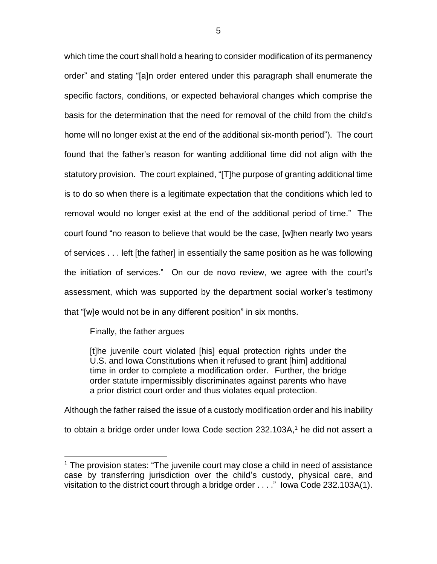which time the court shall hold a hearing to consider modification of its permanency order" and stating "[a]n order entered under this paragraph shall enumerate the specific factors, conditions, or expected behavioral changes which comprise the basis for the determination that the need for removal of the child from the child's home will no longer exist at the end of the additional six-month period"). The court found that the father's reason for wanting additional time did not align with the statutory provision. The court explained, "[T]he purpose of granting additional time is to do so when there is a legitimate expectation that the conditions which led to removal would no longer exist at the end of the additional period of time." The court found "no reason to believe that would be the case, [w]hen nearly two years of services . . . left [the father] in essentially the same position as he was following the initiation of services." On our de novo review, we agree with the court's assessment, which was supported by the department social worker's testimony that "[w]e would not be in any different position" in six months.

Finally, the father argues

 $\overline{a}$ 

[t]he juvenile court violated [his] equal protection rights under the U.S. and Iowa Constitutions when it refused to grant [him] additional time in order to complete a modification order. Further, the bridge order statute impermissibly discriminates against parents who have a prior district court order and thus violates equal protection.

Although the father raised the issue of a custody modification order and his inability to obtain a bridge order under Iowa Code section 232.103A, <sup>1</sup> he did not assert a

<sup>&</sup>lt;sup>1</sup> The provision states: "The juvenile court may close a child in need of assistance case by transferring jurisdiction over the child's custody, physical care, and visitation to the district court through a bridge order . . . ." Iowa Code 232.103A(1).